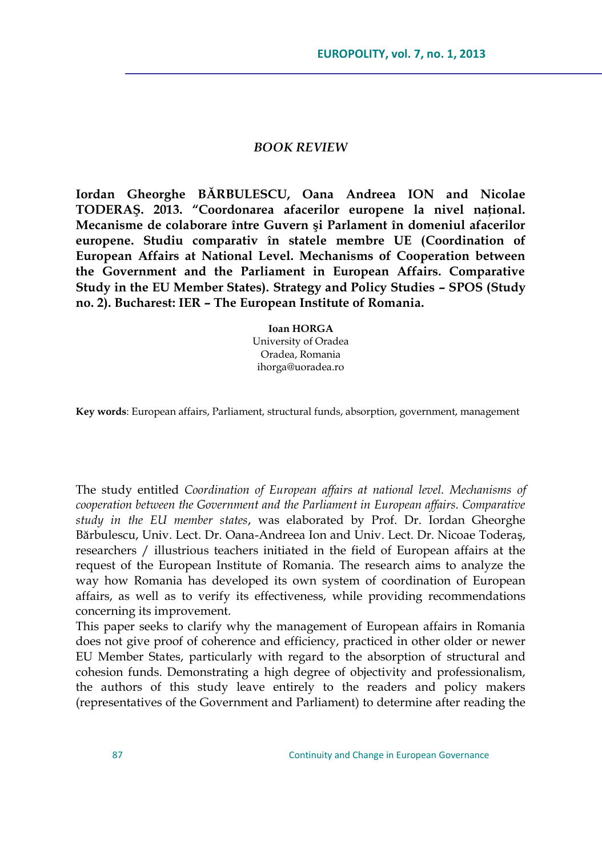## *BOOK REVIEW*

**Iordan Gheorghe BĂRBULESCU, Oana Andreea ION and Nicolae TODERAŞ. 2013. "Coordonarea afacerilor europene la nivel naţional. Mecanisme de colaborare între Guvern şi Parlament în domeniul afacerilor europene. Studiu comparativ în statele membre UE (Coordination of European Affairs at National Level. Mechanisms of Cooperation between the Government and the Parliament in European Affairs. Comparative Study in the EU Member States). Strategy and Policy Studies – SPOS (Study no. 2). Bucharest: IER – The European Institute of Romania.** 

> **Ioan HORGA** University of Oradea Oradea, Romania ihorga@uoradea.ro

**Key words**: European affairs, Parliament, structural funds, absorption, government, management

The study entitled *Coordination of European affairs at national level. Mechanisms of cooperation between the Government and the Parliament in European affairs. Comparative study in the EU member states*, was elaborated by Prof. Dr. Iordan Gheorghe Bărbulescu, Univ. Lect. Dr. Oana-Andreea Ion and Univ. Lect. Dr. Nicoae Toderaş, researchers / illustrious teachers initiated in the field of European affairs at the request of the European Institute of Romania. The research aims to analyze the way how Romania has developed its own system of coordination of European affairs, as well as to verify its effectiveness, while providing recommendations concerning its improvement.

This paper seeks to clarify why the management of European affairs in Romania does not give proof of coherence and efficiency, practiced in other older or newer EU Member States, particularly with regard to the absorption of structural and cohesion funds. Demonstrating a high degree of objectivity and professionalism, the authors of this study leave entirely to the readers and policy makers (representatives of the Government and Parliament) to determine after reading the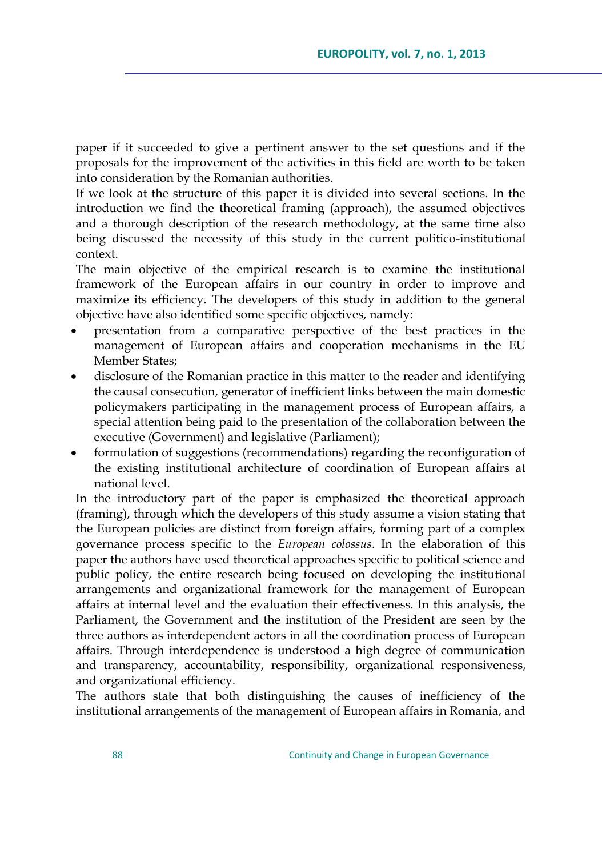paper if it succeeded to give a pertinent answer to the set questions and if the proposals for the improvement of the activities in this field are worth to be taken into consideration by the Romanian authorities.

If we look at the structure of this paper it is divided into several sections. In the introduction we find the theoretical framing (approach), the assumed objectives and a thorough description of the research methodology, at the same time also being discussed the necessity of this study in the current politico-institutional context.

The main objective of the empirical research is to examine the institutional framework of the European affairs in our country in order to improve and maximize its efficiency. The developers of this study in addition to the general objective have also identified some specific objectives, namely:

- presentation from a comparative perspective of the best practices in the management of European affairs and cooperation mechanisms in the EU Member States;
- disclosure of the Romanian practice in this matter to the reader and identifying the causal consecution, generator of inefficient links between the main domestic policymakers participating in the management process of European affairs, a special attention being paid to the presentation of the collaboration between the executive (Government) and legislative (Parliament);
- formulation of suggestions (recommendations) regarding the reconfiguration of the existing institutional architecture of coordination of European affairs at national level.

In the introductory part of the paper is emphasized the theoretical approach (framing), through which the developers of this study assume a vision stating that the European policies are distinct from foreign affairs, forming part of a complex governance process specific to the *European colossus*. In the elaboration of this paper the authors have used theoretical approaches specific to political science and public policy, the entire research being focused on developing the institutional arrangements and organizational framework for the management of European affairs at internal level and the evaluation their effectiveness. In this analysis, the Parliament, the Government and the institution of the President are seen by the three authors as interdependent actors in all the coordination process of European affairs. Through interdependence is understood a high degree of communication and transparency, accountability, responsibility, organizational responsiveness, and organizational efficiency.

The authors state that both distinguishing the causes of inefficiency of the institutional arrangements of the management of European affairs in Romania, and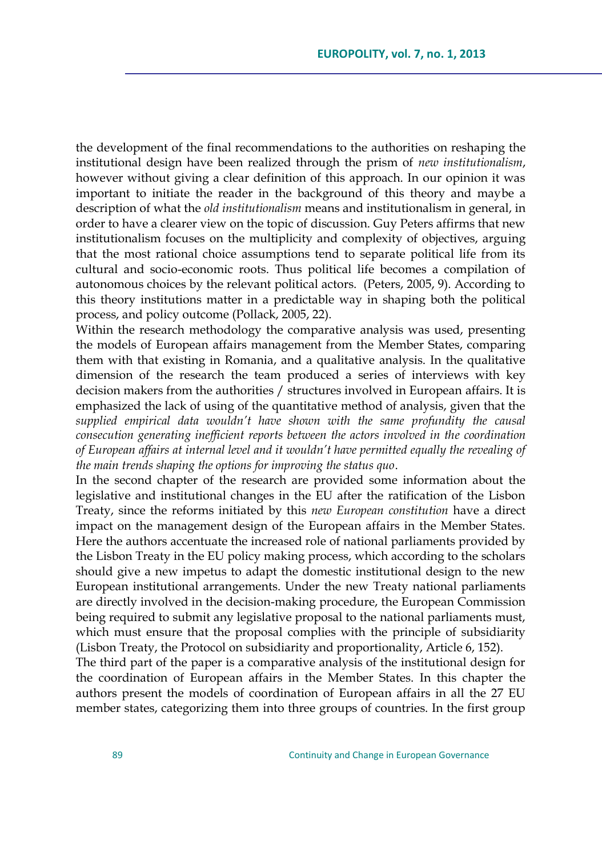the development of the final recommendations to the authorities on reshaping the institutional design have been realized through the prism of *new institutionalism*, however without giving a clear definition of this approach. In our opinion it was important to initiate the reader in the background of this theory and maybe a description of what the *old institutionalism* means and institutionalism in general, in order to have a clearer view on the topic of discussion. Guy Peters affirms that new institutionalism focuses on the multiplicity and complexity of objectives, arguing that the most rational choice assumptions tend to separate political life from its cultural and socio-economic roots. Thus political life becomes a compilation of autonomous choices by the relevant political actors. (Peters, 2005, 9). According to this theory institutions matter in a predictable way in shaping both the political process, and policy outcome (Pollack, 2005, 22).

Within the research methodology the comparative analysis was used, presenting the models of European affairs management from the Member States, comparing them with that existing in Romania, and a qualitative analysis. In the qualitative dimension of the research the team produced a series of interviews with key decision makers from the authorities / structures involved in European affairs. It is emphasized the lack of using of the quantitative method of analysis, given that the *supplied empirical data wouldn't have shown with the same profundity the causal consecution generating inefficient reports between the actors involved in the coordination of European affairs at internal level and it wouldn't have permitted equally the revealing of the main trends shaping the options for improving the status quo*.

In the second chapter of the research are provided some information about the legislative and institutional changes in the EU after the ratification of the Lisbon Treaty, since the reforms initiated by this *new European constitution* have a direct impact on the management design of the European affairs in the Member States. Here the authors accentuate the increased role of national parliaments provided by the Lisbon Treaty in the EU policy making process, which according to the scholars should give a new impetus to adapt the domestic institutional design to the new European institutional arrangements. Under the new Treaty national parliaments are directly involved in the decision-making procedure, the European Commission being required to submit any legislative proposal to the national parliaments must, which must ensure that the proposal complies with the principle of subsidiarity (Lisbon Treaty, the Protocol on subsidiarity and proportionality, Article 6, 152).

The third part of the paper is a comparative analysis of the institutional design for the coordination of European affairs in the Member States. In this chapter the authors present the models of coordination of European affairs in all the 27 EU member states, categorizing them into three groups of countries. In the first group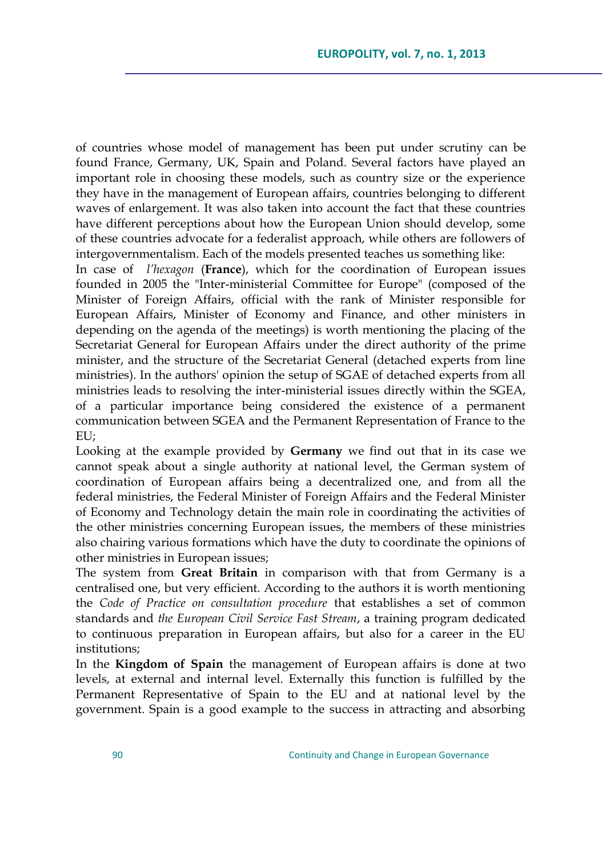of countries whose model of management has been put under scrutiny can be found France, Germany, UK, Spain and Poland. Several factors have played an important role in choosing these models, such as country size or the experience they have in the management of European affairs, countries belonging to different waves of enlargement. It was also taken into account the fact that these countries have different perceptions about how the European Union should develop, some of these countries advocate for a federalist approach, while others are followers of intergovernmentalism. Each of the models presented teaches us something like:

In case of *l'hexagon* (**France**), which for the coordination of European issues founded in 2005 the "Inter-ministerial Committee for Europe" (composed of the Minister of Foreign Affairs, official with the rank of Minister responsible for European Affairs, Minister of Economy and Finance, and other ministers in depending on the agenda of the meetings) is worth mentioning the placing of the Secretariat General for European Affairs under the direct authority of the prime minister, and the structure of the Secretariat General (detached experts from line ministries). In the authors' opinion the setup of SGAE of detached experts from all ministries leads to resolving the inter-ministerial issues directly within the SGEA, of a particular importance being considered the existence of a permanent communication between SGEA and the Permanent Representation of France to the EU;

Looking at the example provided by **Germany** we find out that in its case we cannot speak about a single authority at national level, the German system of coordination of European affairs being a decentralized one, and from all the federal ministries, the Federal Minister of Foreign Affairs and the Federal Minister of Economy and Technology detain the main role in coordinating the activities of the other ministries concerning European issues, the members of these ministries also chairing various formations which have the duty to coordinate the opinions of other ministries in European issues;

The system from **Great Britain** in comparison with that from Germany is a centralised one, but very efficient. According to the authors it is worth mentioning the *Code of Practice on consultation procedure* that establishes a set of common standards and *the European Civil Service Fast Stream*, a training program dedicated to continuous preparation in European affairs, but also for a career in the EU institutions;

In the **Kingdom of Spain** the management of European affairs is done at two levels, at external and internal level. Externally this function is fulfilled by the Permanent Representative of Spain to the EU and at national level by the government. Spain is a good example to the success in attracting and absorbing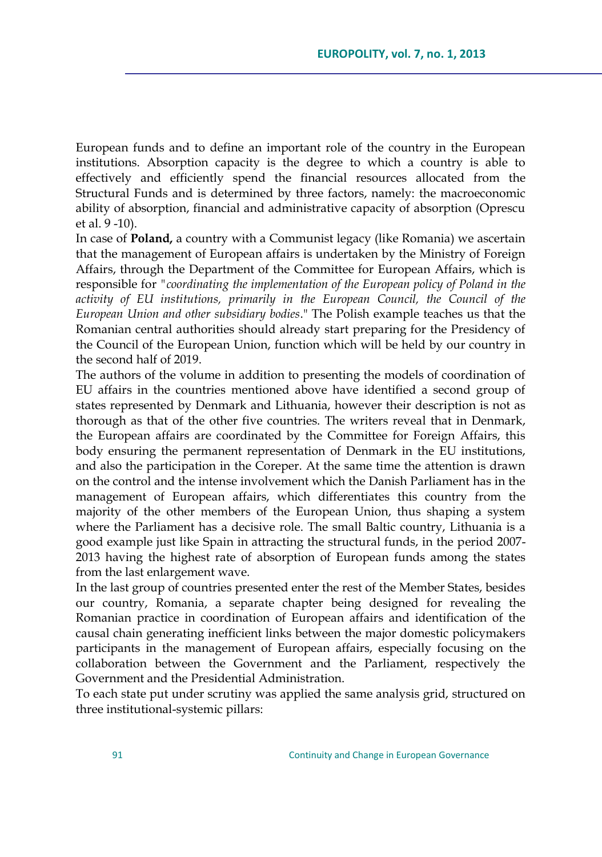European funds and to define an important role of the country in the European institutions. Absorption capacity is the degree to which a country is able to effectively and efficiently spend the financial resources allocated from the Structural Funds and is determined by three factors, namely: the macroeconomic ability of absorption, financial and administrative capacity of absorption (Oprescu et al. 9 -10).

In case of **Poland,** a country with a Communist legacy (like Romania) we ascertain that the management of European affairs is undertaken by the Ministry of Foreign Affairs, through the Department of the Committee for European Affairs, which is responsible for *"coordinating the implementation of the European policy of Poland in the activity of EU institutions, primarily in the European Council, the Council of the European Union and other subsidiary bodies*." The Polish example teaches us that the Romanian central authorities should already start preparing for the Presidency of the Council of the European Union, function which will be held by our country in the second half of 2019.

The authors of the volume in addition to presenting the models of coordination of EU affairs in the countries mentioned above have identified a second group of states represented by Denmark and Lithuania, however their description is not as thorough as that of the other five countries. The writers reveal that in Denmark, the European affairs are coordinated by the Committee for Foreign Affairs, this body ensuring the permanent representation of Denmark in the EU institutions, and also the participation in the Coreper. At the same time the attention is drawn on the control and the intense involvement which the Danish Parliament has in the management of European affairs, which differentiates this country from the majority of the other members of the European Union, thus shaping a system where the Parliament has a decisive role. The small Baltic country, Lithuania is a good example just like Spain in attracting the structural funds, in the period 2007- 2013 having the highest rate of absorption of European funds among the states from the last enlargement wave.

In the last group of countries presented enter the rest of the Member States, besides our country, Romania, a separate chapter being designed for revealing the Romanian practice in coordination of European affairs and identification of the causal chain generating inefficient links between the major domestic policymakers participants in the management of European affairs, especially focusing on the collaboration between the Government and the Parliament, respectively the Government and the Presidential Administration.

To each state put under scrutiny was applied the same analysis grid, structured on three institutional-systemic pillars: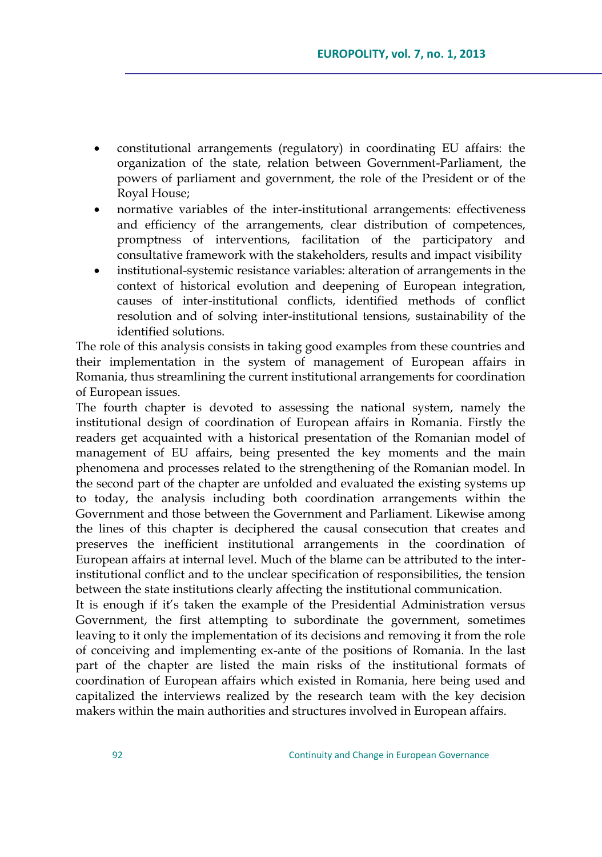- constitutional arrangements (regulatory) in coordinating EU affairs: the organization of the state, relation between Government-Parliament, the powers of parliament and government, the role of the President or of the Royal House;
- normative variables of the inter-institutional arrangements: effectiveness and efficiency of the arrangements, clear distribution of competences, promptness of interventions, facilitation of the participatory and consultative framework with the stakeholders, results and impact visibility
- institutional-systemic resistance variables: alteration of arrangements in the context of historical evolution and deepening of European integration, causes of inter-institutional conflicts, identified methods of conflict resolution and of solving inter-institutional tensions, sustainability of the identified solutions.

The role of this analysis consists in taking good examples from these countries and their implementation in the system of management of European affairs in Romania, thus streamlining the current institutional arrangements for coordination of European issues.

The fourth chapter is devoted to assessing the national system, namely the institutional design of coordination of European affairs in Romania. Firstly the readers get acquainted with a historical presentation of the Romanian model of management of EU affairs, being presented the key moments and the main phenomena and processes related to the strengthening of the Romanian model. In the second part of the chapter are unfolded and evaluated the existing systems up to today, the analysis including both coordination arrangements within the Government and those between the Government and Parliament. Likewise among the lines of this chapter is deciphered the causal consecution that creates and preserves the inefficient institutional arrangements in the coordination of European affairs at internal level. Much of the blame can be attributed to the interinstitutional conflict and to the unclear specification of responsibilities, the tension between the state institutions clearly affecting the institutional communication.

It is enough if it's taken the example of the Presidential Administration versus Government, the first attempting to subordinate the government, sometimes leaving to it only the implementation of its decisions and removing it from the role of conceiving and implementing ex-ante of the positions of Romania. In the last part of the chapter are listed the main risks of the institutional formats of coordination of European affairs which existed in Romania, here being used and capitalized the interviews realized by the research team with the key decision makers within the main authorities and structures involved in European affairs.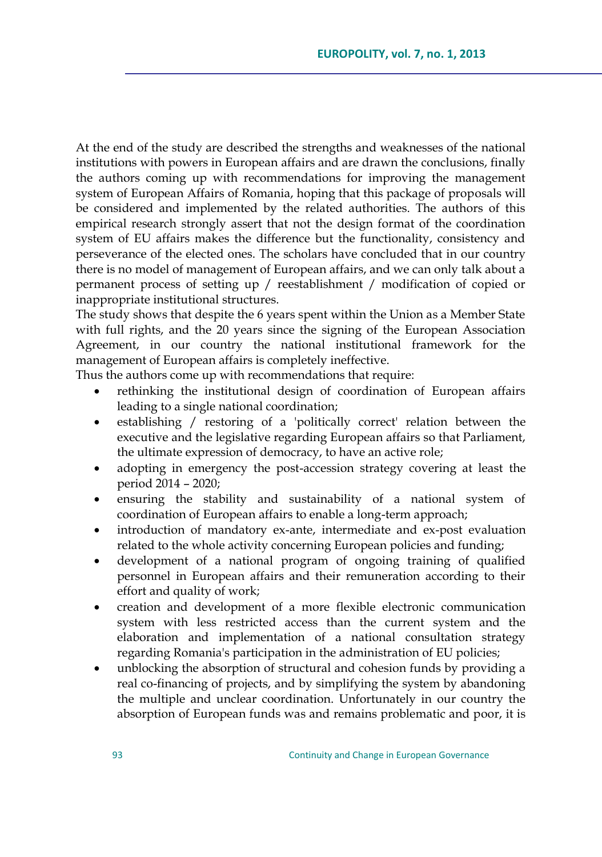At the end of the study are described the strengths and weaknesses of the national institutions with powers in European affairs and are drawn the conclusions, finally the authors coming up with recommendations for improving the management system of European Affairs of Romania, hoping that this package of proposals will be considered and implemented by the related authorities. The authors of this empirical research strongly assert that not the design format of the coordination system of EU affairs makes the difference but the functionality, consistency and perseverance of the elected ones. The scholars have concluded that in our country there is no model of management of European affairs, and we can only talk about a permanent process of setting up / reestablishment / modification of copied or inappropriate institutional structures.

The study shows that despite the 6 years spent within the Union as a Member State with full rights, and the 20 years since the signing of the European Association Agreement, in our country the national institutional framework for the management of European affairs is completely ineffective.

Thus the authors come up with recommendations that require:

- rethinking the institutional design of coordination of European affairs leading to a single national coordination;
- establishing / restoring of a 'politically correct' relation between the executive and the legislative regarding European affairs so that Parliament, the ultimate expression of democracy, to have an active role;
- adopting in emergency the post-accession strategy covering at least the period 2014 – 2020;
- ensuring the stability and sustainability of a national system of coordination of European affairs to enable a long-term approach;
- introduction of mandatory ex-ante, intermediate and ex-post evaluation related to the whole activity concerning European policies and funding;
- development of a national program of ongoing training of qualified personnel in European affairs and their remuneration according to their effort and quality of work;
- creation and development of a more flexible electronic communication system with less restricted access than the current system and the elaboration and implementation of a national consultation strategy regarding Romania's participation in the administration of EU policies;
- unblocking the absorption of structural and cohesion funds by providing a real co-financing of projects, and by simplifying the system by abandoning the multiple and unclear coordination. Unfortunately in our country the absorption of European funds was and remains problematic and poor, it is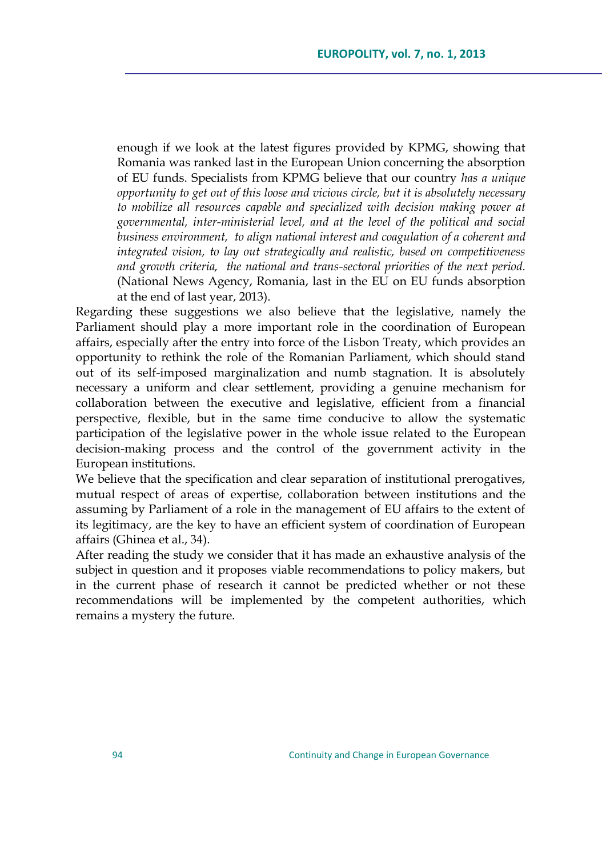enough if we look at the latest figures provided by KPMG, showing that Romania was ranked last in the European Union concerning the absorption of EU funds. Specialists from KPMG believe that our country *has a unique opportunity to get out of this loose and vicious circle, but it is absolutely necessary to mobilize all resources capable and specialized with decision making power at governmental, inter-ministerial level, and at the level of the political and social business environment, to align national interest and coagulation of a coherent and integrated vision, to lay out strategically and realistic, based on competitiveness and growth criteria, the national and trans-sectoral priorities of the next period.* (National News Agency, Romania, last in the EU on EU funds absorption at the end of last year, 2013).

Regarding these suggestions we also believe that the legislative, namely the Parliament should play a more important role in the coordination of European affairs, especially after the entry into force of the Lisbon Treaty, which provides an opportunity to rethink the role of the Romanian Parliament, which should stand out of its self-imposed marginalization and numb stagnation. It is absolutely necessary a uniform and clear settlement, providing a genuine mechanism for collaboration between the executive and legislative, efficient from a financial perspective, flexible, but in the same time conducive to allow the systematic participation of the legislative power in the whole issue related to the European decision-making process and the control of the government activity in the European institutions.

We believe that the specification and clear separation of institutional prerogatives, mutual respect of areas of expertise, collaboration between institutions and the assuming by Parliament of a role in the management of EU affairs to the extent of its legitimacy, are the key to have an efficient system of coordination of European affairs (Ghinea et al., 34).

After reading the study we consider that it has made an exhaustive analysis of the subject in question and it proposes viable recommendations to policy makers, but in the current phase of research it cannot be predicted whether or not these recommendations will be implemented by the competent authorities, which remains a mystery the future.